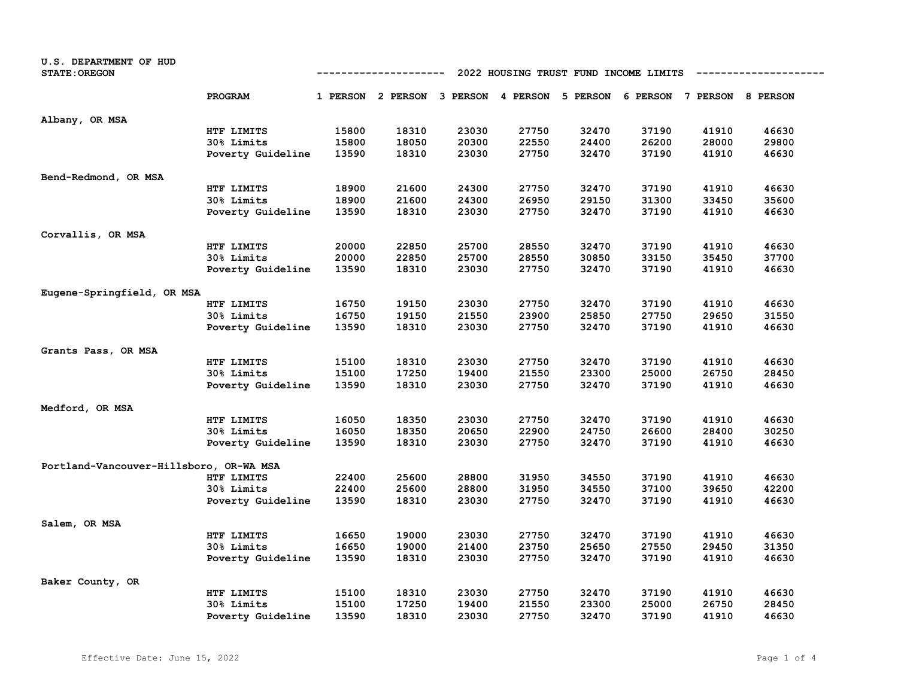| U.S. DEPARTMENT OF HUD<br><b>STATE: OREGON</b> |                   | 2022 HOUSING TRUST FUND INCOME LIMITS |                                                                         |       |       |       |       |       |       |
|------------------------------------------------|-------------------|---------------------------------------|-------------------------------------------------------------------------|-------|-------|-------|-------|-------|-------|
|                                                | PROGRAM           |                                       | 1 PERSON 2 PERSON 3 PERSON 4 PERSON 5 PERSON 6 PERSON 7 PERSON 8 PERSON |       |       |       |       |       |       |
| Albany, OR MSA                                 |                   |                                       |                                                                         |       |       |       |       |       |       |
|                                                | HTF LIMITS        | 15800                                 | 18310                                                                   | 23030 | 27750 | 32470 | 37190 | 41910 | 46630 |
|                                                | 30% Limits        | 15800                                 | 18050                                                                   | 20300 | 22550 | 24400 | 26200 | 28000 | 29800 |
|                                                | Poverty Guideline | 13590                                 | 18310                                                                   | 23030 | 27750 | 32470 | 37190 | 41910 | 46630 |
| Bend-Redmond, OR MSA                           |                   |                                       |                                                                         |       |       |       |       |       |       |
|                                                | HTF LIMITS        | 18900                                 | 21600                                                                   | 24300 | 27750 | 32470 | 37190 | 41910 | 46630 |
|                                                | 30% Limits        | 18900                                 | 21600                                                                   | 24300 | 26950 | 29150 | 31300 | 33450 | 35600 |
|                                                | Poverty Guideline | 13590                                 | 18310                                                                   | 23030 | 27750 | 32470 | 37190 | 41910 | 46630 |
| Corvallis, OR MSA                              |                   |                                       |                                                                         |       |       |       |       |       |       |
|                                                | HTF LIMITS        | 20000                                 | 22850                                                                   | 25700 | 28550 | 32470 | 37190 | 41910 | 46630 |
|                                                | 30% Limits        | 20000                                 | 22850                                                                   | 25700 | 28550 | 30850 | 33150 | 35450 | 37700 |
|                                                | Poverty Guideline | 13590                                 | 18310                                                                   | 23030 | 27750 | 32470 | 37190 | 41910 | 46630 |
| Eugene-Springfield, OR MSA                     |                   |                                       |                                                                         |       |       |       |       |       |       |
|                                                | HTF LIMITS        | 16750                                 | 19150                                                                   | 23030 | 27750 | 32470 | 37190 | 41910 | 46630 |
|                                                | 30% Limits        | 16750                                 | 19150                                                                   | 21550 | 23900 | 25850 | 27750 | 29650 | 31550 |
|                                                | Poverty Guideline | 13590                                 | 18310                                                                   | 23030 | 27750 | 32470 | 37190 | 41910 | 46630 |
| Grants Pass, OR MSA                            |                   |                                       |                                                                         |       |       |       |       |       |       |
|                                                | HTF LIMITS        | 15100                                 | 18310                                                                   | 23030 | 27750 | 32470 | 37190 | 41910 | 46630 |
|                                                | 30% Limits        | 15100                                 | 17250                                                                   | 19400 | 21550 | 23300 | 25000 | 26750 | 28450 |
|                                                | Poverty Guideline | 13590                                 | 18310                                                                   | 23030 | 27750 | 32470 | 37190 | 41910 | 46630 |
| Medford, OR MSA                                |                   |                                       |                                                                         |       |       |       |       |       |       |
|                                                | HTF LIMITS        | 16050                                 | 18350                                                                   | 23030 | 27750 | 32470 | 37190 | 41910 | 46630 |
|                                                | 30% Limits        | 16050                                 | 18350                                                                   | 20650 | 22900 | 24750 | 26600 | 28400 | 30250 |
|                                                | Poverty Guideline | 13590                                 | 18310                                                                   | 23030 | 27750 | 32470 | 37190 | 41910 | 46630 |
| Portland-Vancouver-Hillsboro, OR-WA MSA        |                   |                                       |                                                                         |       |       |       |       |       |       |
|                                                | HTF LIMITS        | 22400                                 | 25600                                                                   | 28800 | 31950 | 34550 | 37190 | 41910 | 46630 |
|                                                | 30% Limits        | 22400                                 | 25600                                                                   | 28800 | 31950 | 34550 | 37100 | 39650 | 42200 |
|                                                | Poverty Guideline | 13590                                 | 18310                                                                   | 23030 | 27750 | 32470 | 37190 | 41910 | 46630 |
| Salem, OR MSA                                  |                   |                                       |                                                                         |       |       |       |       |       |       |
|                                                | HTF LIMITS        | 16650                                 | 19000                                                                   | 23030 | 27750 | 32470 | 37190 | 41910 | 46630 |
|                                                | 30% Limits        | 16650                                 | 19000                                                                   | 21400 | 23750 | 25650 | 27550 | 29450 | 31350 |
|                                                | Poverty Guideline | 13590                                 | 18310                                                                   | 23030 | 27750 | 32470 | 37190 | 41910 | 46630 |
| Baker County, OR                               |                   |                                       |                                                                         |       |       |       |       |       |       |
|                                                | HTF LIMITS        | 15100                                 | 18310                                                                   | 23030 | 27750 | 32470 | 37190 | 41910 | 46630 |
|                                                | 30% Limits        | 15100                                 | 17250                                                                   | 19400 | 21550 | 23300 | 25000 | 26750 | 28450 |
|                                                | Poverty Guideline | 13590                                 | 18310                                                                   | 23030 | 27750 | 32470 | 37190 | 41910 | 46630 |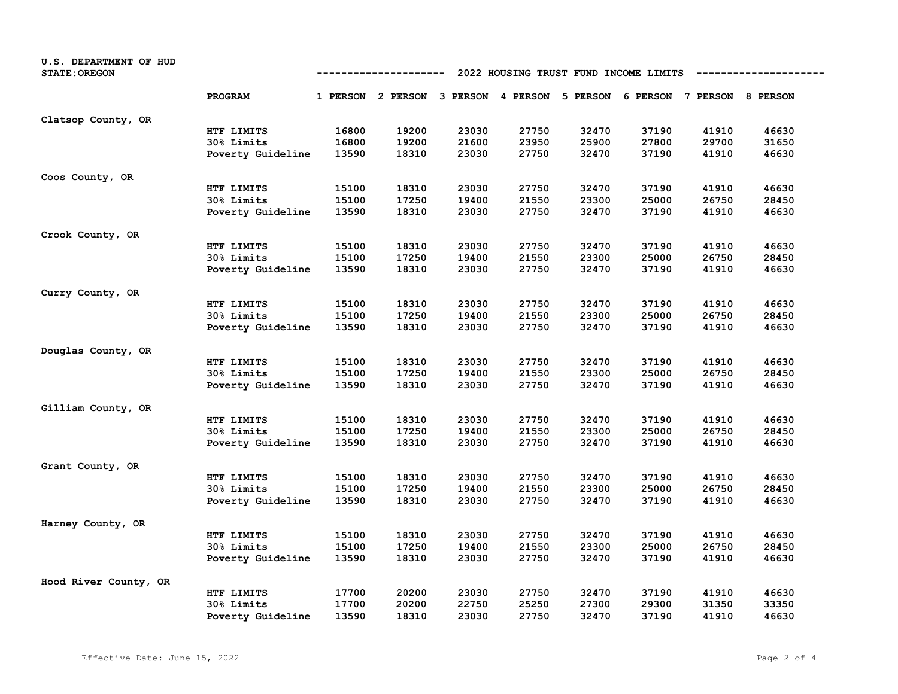| U.S. DEPARTMENT OF HUD<br><b>STATE: OREGON</b> | 2022 HOUSING TRUST FUND INCOME LIMITS<br>--------------<br>---------- |       |                   |       |       |                                                       |       |       |       |
|------------------------------------------------|-----------------------------------------------------------------------|-------|-------------------|-------|-------|-------------------------------------------------------|-------|-------|-------|
|                                                | PROGRAM                                                               |       | 1 PERSON 2 PERSON |       |       | 3 PERSON 4 PERSON 5 PERSON 6 PERSON 7 PERSON 8 PERSON |       |       |       |
| Clatsop County, OR                             |                                                                       |       |                   |       |       |                                                       |       |       |       |
|                                                | HTF LIMITS                                                            | 16800 | 19200             | 23030 | 27750 | 32470                                                 | 37190 | 41910 | 46630 |
|                                                | 30% Limits                                                            | 16800 | 19200             | 21600 | 23950 | 25900                                                 | 27800 | 29700 | 31650 |
|                                                | Poverty Guideline                                                     | 13590 | 18310             | 23030 | 27750 | 32470                                                 | 37190 | 41910 | 46630 |
| Coos County, OR                                |                                                                       |       |                   |       |       |                                                       |       |       |       |
|                                                | HTF LIMITS                                                            | 15100 | 18310             | 23030 | 27750 | 32470                                                 | 37190 | 41910 | 46630 |
|                                                | 30% Limits                                                            | 15100 | 17250             | 19400 | 21550 | 23300                                                 | 25000 | 26750 | 28450 |
|                                                | Poverty Guideline                                                     | 13590 | 18310             | 23030 | 27750 | 32470                                                 | 37190 | 41910 | 46630 |
| Crook County, OR                               |                                                                       |       |                   |       |       |                                                       |       |       |       |
|                                                | HTF LIMITS                                                            | 15100 | 18310             | 23030 | 27750 | 32470                                                 | 37190 | 41910 | 46630 |
|                                                | 30% Limits                                                            | 15100 | 17250             | 19400 | 21550 | 23300                                                 | 25000 | 26750 | 28450 |
|                                                | Poverty Guideline                                                     | 13590 | 18310             | 23030 | 27750 | 32470                                                 | 37190 | 41910 | 46630 |
| Curry County, OR                               |                                                                       |       |                   |       |       |                                                       |       |       |       |
|                                                | HTF LIMITS                                                            | 15100 | 18310             | 23030 | 27750 | 32470                                                 | 37190 | 41910 | 46630 |
|                                                | 30% Limits                                                            | 15100 | 17250             | 19400 | 21550 | 23300                                                 | 25000 | 26750 | 28450 |
|                                                | Poverty Guideline                                                     | 13590 | 18310             | 23030 | 27750 | 32470                                                 | 37190 | 41910 | 46630 |
| Douglas County, OR                             |                                                                       |       |                   |       |       |                                                       |       |       |       |
|                                                | HTF LIMITS                                                            | 15100 | 18310             | 23030 | 27750 | 32470                                                 | 37190 | 41910 | 46630 |
|                                                | 30% Limits                                                            | 15100 | 17250             | 19400 | 21550 | 23300                                                 | 25000 | 26750 | 28450 |
|                                                | Poverty Guideline                                                     | 13590 | 18310             | 23030 | 27750 | 32470                                                 | 37190 | 41910 | 46630 |
| Gilliam County, OR                             |                                                                       |       |                   |       |       |                                                       |       |       |       |
|                                                | HTF LIMITS                                                            | 15100 | 18310             | 23030 | 27750 | 32470                                                 | 37190 | 41910 | 46630 |
|                                                | <b>30% Limits</b>                                                     | 15100 | 17250             | 19400 | 21550 | 23300                                                 | 25000 | 26750 | 28450 |
|                                                | Poverty Guideline                                                     | 13590 | 18310             | 23030 | 27750 | 32470                                                 | 37190 | 41910 | 46630 |
| Grant County, OR                               |                                                                       |       |                   |       |       |                                                       |       |       |       |
|                                                | HTF LIMITS                                                            | 15100 | 18310             | 23030 | 27750 | 32470                                                 | 37190 | 41910 | 46630 |
|                                                | 30% Limits                                                            | 15100 | 17250             | 19400 | 21550 | 23300                                                 | 25000 | 26750 | 28450 |
|                                                | Poverty Guideline                                                     | 13590 | 18310             | 23030 | 27750 | 32470                                                 | 37190 | 41910 | 46630 |
| Harney County, OR                              |                                                                       |       |                   |       |       |                                                       |       |       |       |
|                                                | HTF LIMITS                                                            | 15100 | 18310             | 23030 | 27750 | 32470                                                 | 37190 | 41910 | 46630 |
|                                                | <b>30% Limits</b>                                                     | 15100 | 17250             | 19400 | 21550 | 23300                                                 | 25000 | 26750 | 28450 |
|                                                | Poverty Guideline                                                     | 13590 | 18310             | 23030 | 27750 | 32470                                                 | 37190 | 41910 | 46630 |
| Hood River County, OR                          |                                                                       |       |                   |       |       |                                                       |       |       |       |
|                                                | HTF LIMITS                                                            | 17700 | 20200             | 23030 | 27750 | 32470                                                 | 37190 | 41910 | 46630 |
|                                                | 30% Limits                                                            | 17700 | 20200             | 22750 | 25250 | 27300                                                 | 29300 | 31350 | 33350 |
|                                                | Poverty Guideline                                                     | 13590 | 18310             | 23030 | 27750 | 32470                                                 | 37190 | 41910 | 46630 |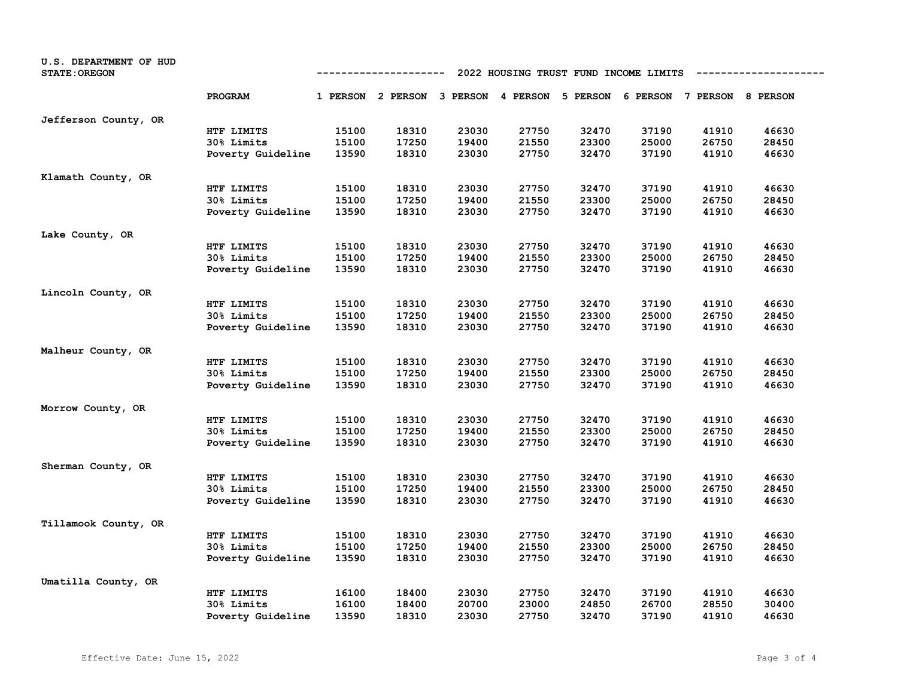| U.S. DEPARTMENT OF HUD<br><b>STATE: OREGON</b> |                   | 2022 HOUSING TRUST FUND INCOME LIMITS<br>---------- |                                                                         |       |       |       |       |       |       |
|------------------------------------------------|-------------------|-----------------------------------------------------|-------------------------------------------------------------------------|-------|-------|-------|-------|-------|-------|
|                                                | PROGRAM           |                                                     | 1 PERSON 2 PERSON 3 PERSON 4 PERSON 5 PERSON 6 PERSON 7 PERSON 8 PERSON |       |       |       |       |       |       |
| Jefferson County, OR                           |                   |                                                     |                                                                         |       |       |       |       |       |       |
|                                                | HTF LIMITS        | 15100                                               | 18310                                                                   | 23030 | 27750 | 32470 | 37190 | 41910 | 46630 |
|                                                | 30% Limits        | 15100                                               | 17250                                                                   | 19400 | 21550 | 23300 | 25000 | 26750 | 28450 |
|                                                | Poverty Guideline | 13590                                               | 18310                                                                   | 23030 | 27750 | 32470 | 37190 | 41910 | 46630 |
| Klamath County, OR                             |                   |                                                     |                                                                         |       |       |       |       |       |       |
|                                                | HTF LIMITS        | 15100                                               | 18310                                                                   | 23030 | 27750 | 32470 | 37190 | 41910 | 46630 |
|                                                | 30% Limits        | 15100                                               | 17250                                                                   | 19400 | 21550 | 23300 | 25000 | 26750 | 28450 |
|                                                | Poverty Guideline | 13590                                               | 18310                                                                   | 23030 | 27750 | 32470 | 37190 | 41910 | 46630 |
| Lake County, OR                                |                   |                                                     |                                                                         |       |       |       |       |       |       |
|                                                | HTF LIMITS        | 15100                                               | 18310                                                                   | 23030 | 27750 | 32470 | 37190 | 41910 | 46630 |
|                                                | 30% Limits        | 15100                                               | 17250                                                                   | 19400 | 21550 | 23300 | 25000 | 26750 | 28450 |
|                                                | Poverty Guideline | 13590                                               | 18310                                                                   | 23030 | 27750 | 32470 | 37190 | 41910 | 46630 |
| Lincoln County, OR                             |                   |                                                     |                                                                         |       |       |       |       |       |       |
|                                                | HTF LIMITS        | 15100                                               | 18310                                                                   | 23030 | 27750 | 32470 | 37190 | 41910 | 46630 |
|                                                | 30% Limits        | 15100                                               | 17250                                                                   | 19400 | 21550 | 23300 | 25000 | 26750 | 28450 |
|                                                | Poverty Guideline | 13590                                               | 18310                                                                   | 23030 | 27750 | 32470 | 37190 | 41910 | 46630 |
| Malheur County, OR                             |                   |                                                     |                                                                         |       |       |       |       |       |       |
|                                                | HTF LIMITS        | 15100                                               | 18310                                                                   | 23030 | 27750 | 32470 | 37190 | 41910 | 46630 |
|                                                | 30% Limits        | 15100                                               | 17250                                                                   | 19400 | 21550 | 23300 | 25000 | 26750 | 28450 |
|                                                | Poverty Guideline | 13590                                               | 18310                                                                   | 23030 | 27750 | 32470 | 37190 | 41910 | 46630 |
| Morrow County, OR                              |                   |                                                     |                                                                         |       |       |       |       |       |       |
|                                                | HTF LIMITS        | 15100                                               | 18310                                                                   | 23030 | 27750 | 32470 | 37190 | 41910 | 46630 |
|                                                | 30% Limits        | 15100                                               | 17250                                                                   | 19400 | 21550 | 23300 | 25000 | 26750 | 28450 |
|                                                | Poverty Guideline | 13590                                               | 18310                                                                   | 23030 | 27750 | 32470 | 37190 | 41910 | 46630 |
| Sherman County, OR                             |                   |                                                     |                                                                         |       |       |       |       |       |       |
|                                                | HTF LIMITS        | 15100                                               | 18310                                                                   | 23030 | 27750 | 32470 | 37190 | 41910 | 46630 |
|                                                | 30% Limits        | 15100                                               | 17250                                                                   | 19400 | 21550 | 23300 | 25000 | 26750 | 28450 |
|                                                | Poverty Guideline | 13590                                               | 18310                                                                   | 23030 | 27750 | 32470 | 37190 | 41910 | 46630 |
| Tillamook County, OR                           |                   |                                                     |                                                                         |       |       |       |       |       |       |
|                                                | HTF LIMITS        | 15100                                               | 18310                                                                   | 23030 | 27750 | 32470 | 37190 | 41910 | 46630 |
|                                                | 30% Limits        | 15100                                               | 17250                                                                   | 19400 | 21550 | 23300 | 25000 | 26750 | 28450 |
|                                                | Poverty Guideline | 13590                                               | 18310                                                                   | 23030 | 27750 | 32470 | 37190 | 41910 | 46630 |
| Umatilla County, OR                            |                   |                                                     |                                                                         |       |       |       |       |       |       |
|                                                | HTF LIMITS        | 16100                                               | 18400                                                                   | 23030 | 27750 | 32470 | 37190 | 41910 | 46630 |
|                                                | 30% Limits        | 16100                                               | 18400                                                                   | 20700 | 23000 | 24850 | 26700 | 28550 | 30400 |
|                                                | Poverty Guideline | 13590                                               | 18310                                                                   | 23030 | 27750 | 32470 | 37190 | 41910 | 46630 |